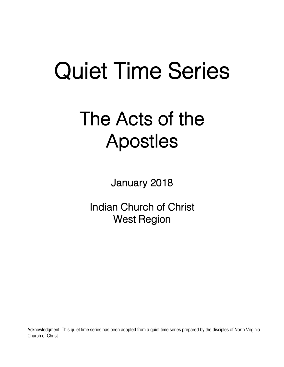# Quiet Time Series

## The Acts of the Apostles

January 2018

Indian Church of Christ West Region

Acknowledgment: This quiet time series has been adapted from a quiet time series prepared by the disciples of North Virginia Church of Christ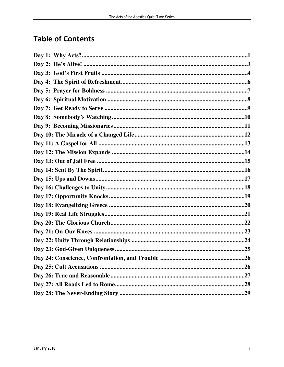## **Table of Contents**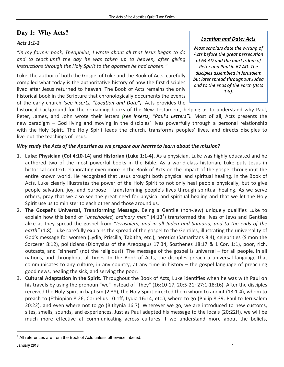## **Day 1: Why Acts?**

#### *Acts 1:1-2*

*"In my former book, Theophilus, I wrote about all that Jesus began to do and to teach until the day he was taken up to heaven, after giving instructions through the Holy Spirit to the apostles he had chosen."* 

Luke, the author of both the Gospel of Luke and the Book of Acts, carefully compiled what today is the authoritative history of how the first disciples lived after Jesus returned to heaven. The Book of Acts remains the only historical book in the Scripture that chronologically documents the events of the early church *(see inserts, "Location and Date")*. Acts provides the

#### *Location and Date: Acts*

*Most scholars date the writing of Acts before the great persecution of 64 AD and the martyrdom of Peter and Paul in 67 AD. The disciples assembled in Jerusalem but later spread throughout Judea and to the ends of the earth (Acts 1:8).*

historical background for the remaining books of the New Testament, helping us to understand why Paul, Peter, James, and John wrote their letters *(see inserts, "Paul's Letters")*. Most of all, Acts presents the new paradigm – God living and moving in the disciples' lives powerfully through a personal relationship with the Holy Spirit. The Holy Spirit leads the church, transforms peoples' lives, and directs disciples to live out the teachings of Jesus.

#### Why study the Acts of the Apostles as we prepare our hearts to learn about the mission?

- 1. Luke: Physician (Col 4:10-14) and Historian (Luke 1:1-4). As a physician, Luke was highly educated and he authored two of the most powerful books in the Bible. As a world-class historian, Luke puts Jesus in historical context, elaborating even more in the Book of Acts on the impact of the gospel throughout the entire known world. He recognized that Jesus brought both physical and spiritual healing. In the Book of Acts, Luke clearly illustrates the power of the Holy Spirit to not only heal people physically, but to give people salvation, joy, and purpose – transforming people's lives through spiritual healing. As we serve others, pray that we also see the great need for physical and spiritual healing and that we let the Holy Spirit use us to minister to each other and those around us.
- 2. **The Gospel's Universal, Transforming Message.** Being a Gentile (non-Jew) uniquely qualifies Luke to explain how this band of "unschooled, ordinary men" (4:13<sup>1</sup>) transformed the lives of Jews and Gentiles alike as they spread the gospel from "Jerusalem, and in all Judea and Samaria, and to the ends of the earth" (1:8). Luke carefully explains the spread of the gospel to the Gentiles, illustrating the universality of God's message for women (Lydia, Priscilla, Tabitha, etc.), heretics (Samaritans 8:4), celebrities (Simon the Sorcerer 8:12), politicians (Dionysius of the Areopagus 17:34, Sosthenes 18:17 & 1 Cor. 1:1), poor, rich, outcasts, and "sinners" (not the religious!). The message of the gospel is universal – for all people, in all nations, and throughout all times. In the Book of Acts, the disciples preach a universal language that communicates to any culture, in any country, at any time in history  $-$  the gospel language of preaching good news, healing the sick, and serving the poor.
- 3. **Cultural Adaptation in the Spirit.** Throughout the Book of Acts, Luke identifies when he was with Paul on his travels by using the pronoun "we" instead of "they"  $(16:10-17, 20:5-21; 27:1-18:16)$ . After the disciples received the Holy Spirit in baptism (2:38), the Holy Spirit directed them whom to anoint (13:1-4), whom to preach to (Ethiopian 8:26, Cornelius 10:1ff, Lydia 16:14, etc.), where to go (Philip 8:39, Paul to Jerusalem 20:22), and even where not to go (Bithynia 16:7). Wherever we go, we are introduced to new customs, sites, smells, sounds, and experiences. Just as Paul adapted his message to the locals (20:22ff), we will be much more effective at communicating across cultures if we understand more about the beliefs,

All references are from the Book of Acts unless otherwise labeled.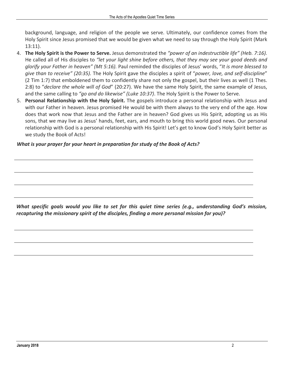background, language, and religion of the people we serve. Ultimately, our confidence comes from the Holy Spirit since Jesus promised that we would be given what we need to say through the Holy Spirit (Mark 13:11). 

- 4. The Holy Spirit is the Power to Serve. Jesus demonstrated the "power of an indestructible life" (Heb. 7:16). He called all of His disciples to "let your light shine before others, that they may see your good deeds and *glorify your Father in heaven" (Mt 5:16).* Paul reminded the disciples of Jesus' words, "It is more blessed to give than to receive" (20:35). The Holy Spirit gave the disciples a spirit of "power, love, and self-discipline" (2 Tim 1:7) that emboldened them to confidently share not only the gospel, but their lives as well (1 Thes. 2:8) to "*declare the whole will of God*" (20:27). We have the same Holy Spirit, the same example of Jesus, and the same calling to "go and do likewise" (Luke 10:37). The Holy Spirit is the Power to Serve.
- 5. **Personal Relationship with the Holy Spirit.** The gospels introduce a personal relationship with Jesus and with our Father in heaven. Jesus promised He would be with them always to the very end of the age. How does that work now that Jesus and the Father are in heaven? God gives us His Spirit, adopting us as His sons, that we may live as Jesus' hands, feet, ears, and mouth to bring this world good news. Our personal relationship with God is a personal relationship with His Spirit! Let's get to know God's Holy Spirit better as we study the Book of Acts!

#### *What is your prayer for your heart in preparation for study of the Book of Acts?*

*What* specific goals would you like to set for this quiet time series (e.g., understanding God's mission, recapturing the missionary spirit of the disciples, finding a more personal mission for you)?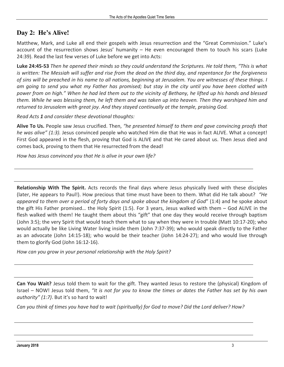## **Day 2: He's Alive!**

Matthew, Mark, and Luke all end their gospels with Jesus resurrection and the "Great Commission." Luke's account of the resurrection shows Jesus' humanity  $-$  He even encouraged them to touch his scars (Luke 24:39). Read the last few verses of Luke before we get into Acts:

Luke 24:45-53 Then he opened their minds so they could understand the Scriptures. He told them, "This is what *is* written: The Messiah will suffer and rise from the dead on the third day, and repentance for the forgiveness of sins will be preached in his name to all nations, beginning at Jerusalem. You are witnesses of these things. I am going to send you what my Father has promised; but stay in the city until you have been clothed with power from on high." When he had led them out to the vicinity of Bethany, he lifted up his hands and blessed *them.* While he was blessing them, he left them and was taken up into heaven. Then they worshiped him and returned to Jerusalem with great joy. And they stayed continually at the temple, praising God.

*Read Acts 1 and consider these devotional thoughts:* 

**Alive To Us.** People saw Jesus crucified. Then, *"he presented himself to them and gave convincing proofs that he* was alive" (1:3). Jesus convinced people who watched Him die that He was in fact ALIVE. What a concept! First God appeared in the flesh, proving that God is ALIVE and that He cared about us. Then Jesus died and comes back, proving to them that He resurrected from the dead!

*How has Jesus convinced you that He is alive in your own life?* 

**Relationship With The Spirit.** Acts records the final days where Jesus physically lived with these disciples (later, He appears to Paul!). How precious that time must have been to them. What did He talk about? *"He* appeared to them over a period of forty days and spoke about the kingdom of God" (1:4) and he spoke about the gift His Father promised... the Holy Spirit  $(1:5)$ . For 3 years, Jesus walked with them  $-$  God ALIVE in the flesh walked with them! He taught them about this "gift" that one day they would receive through baptism (John 3:5); the very Spirit that would teach them what to say when they were in trouble (Matt 10:17-20); who would actually be like Living Water living inside them (John 7:37-39); who would speak directly to the Father as an advocate (John 14:15-18); who would be their teacher (John 14:24-27); and who would live through them to glorify God (John 16:12-16).

How can you grow in your personal relationship with the Holy Spirit?

**Can You Wait?** Jesus told them to wait for the gift. They wanted Jesus to restore the (physical) Kingdom of Israel - NOW! Jesus told them, "It is not for you to know the times or dates the Father has set by his own *authority"* (1:7). But it's so hard to wait!

*Can you think of times you have had to wait (spiritually) for God to move? Did the Lord deliver? How?*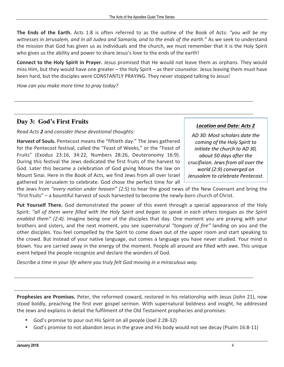**The Ends of the Earth.** Acts 1:8 is often referred to as the outline of the Book of Acts: *"you will be my* witnesses in Jerusalem, and in all Judea and Samaria, and to the ends of the earth." As we seek to understand the mission that God has given us as individuals and the church, we must remember that it is the Holy Spirit who gives us the ability and power to share Jesus's love to the ends of the earth!

**Connect to the Holy Spirit in Prayer.** Jesus promised that He would not leave them as orphans. They would miss Him, but they would have one greater – the Holy Spirit – as their counselor. Jesus leaving them must have been hard, but the disciples were CONSTANTLY PRAYING. They never stopped talking to Jesus!

*How can you make more time to pray today?* 

## **Day 3: God's First Fruits**

*Read Acts 2 and consider these devotional thoughts:* 

Harvest of Souls. Pentecost means the "fiftieth day." The Jews gathered for the Pentecost festival, called the "Feast of Weeks," or the "Feast of Fruits" (Exodus 23:16, 34:22, Numbers 28:26, Deuteronomy 16:9). During this festival the Jews dedicated the first fruits of the harvest to God. Later this became a celebration of God giving Moses the law on Mount Sinai. Here in the Book of Acts, we find Jews from all over Israel gathered in Jerusalem to celebrate. God chose the perfect time for all

#### *Location and Date: Acts 2*

*AD 30: Most scholars date the coming of the Holy Spirit to initiate the church to AD 30, about 50 days after the crucifixion. Jews from all over the world (2:9) converged on Jerusalem to celebrate Pentecost.*

the Jews from "every nation under heaven" (2:5) to hear the good news of the New Covenant and bring the "first fruits"  $-$  a bountiful harvest of souls harvested to become the newly-born church of Christ.

**Put Yourself There.** God demonstrated the power of this event through a special appearance of the Holy Spirit: "all of them were filled with the Holy Spirit and began to speak in each others tongues as the Spirit enabled them" (2:4). Imagine being one of the disciples that day. One moment you are praying with your brothers and sisters, and the next moment, you see supernatural "tongues of fire" landing on you and the other disciples. You feel compelled by the Spirit to come down out of the upper room and start speaking to the crowd. But instead of your native language, out comes a language you have never studied. Your mind is blown. You are carried away in the energy of the moment. People all around are filled with awe. This unique event helped the people recognize and declare the wonders of God.

*Describe a time in your life where you truly felt God moving in a miraculous way.* 

**Prophesies are Promises.** Peter, the reformed coward, restored in his relationship with Jesus (John 21), now stood boldly, preaching the first ever gospel sermon. With supernatural boldness and insight, he addressed the Jews and explains in detail the fulfilment of the Old Testament prophecies and promises:

- God's promise to pour out His Spirit on all people (Joel 2:28-32)
- God's promise to not abandon Jesus in the grave and His body would not see decay (Psalm 16:8-11)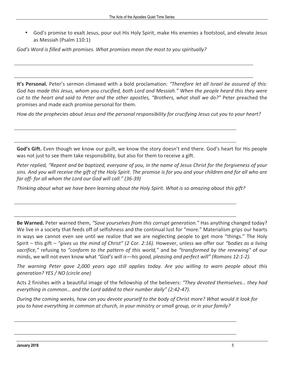• God's promise to exalt Jesus, pour out His Holy Spirit, make His enemies a footstool, and elevate Jesus as Messiah (Psalm 110:1)

God's Word is filled with promises. What promises mean the most to you spiritually?

**It's Personal.** Peter's sermon climaxed with a bold proclamation: "Therefore let all Israel be assured of this: God has made this Jesus, whom you crucified, both Lord and Messiah." When the people heard this they were *cut* to the heart and said to Peter and the other apostles, "Brothers, what shall we do?" Peter preached the promises and made each promise personal for them.

*How do the prophecies about Jesus and the personal responsibility for crucifying Jesus cut you to your heart?* 

**God's Gift.** Even though we know our guilt, we know the story doesn't end there. God's heart for His people was not just to see them take responsibility, but also for them to receive a gift.

*Peter replied, "Repent and be baptized, everyone of you, in the name of Jesus Christ for the forgiveness of your* sins. And you will receive the gift of the Holy Spirit. The promise is for you and your children and for all who are *far off- for all whom the Lord our God will call." (36-39)*

Thinking about what we have been learning about the Holy Spirit. What is so amazing about this gift?

**Be Warned.** Peter warned them, "Save yourselves from this corrupt generation." Has anything changed today? We live in a society that feeds off of selfishness and the continual lust for "more." Materialism grips our hearts in ways we cannot even see until we realize that we are neglecting people to get more "things." The Holy Spirit – this gift – "gives us the mind of Christ" (2 Cor. 2:16). However, unless we offer our "bodies as a living *sacrifice,"* refusing to *"conform to the pattern of this world,"* and be *"transformed by the renewing"* of our minds, we will not even know what "God's will is—his good, pleasing and perfect will" (Romans 12:1-2).

*The warning Peter gave 2,000 years ago still applies today. Are you willing to warn people about this generation? YES / NO (circle one)* 

Acts 2 finishes with a beautiful image of the fellowship of the believers: "They devoted themselves... they had *everything in common... and the Lord added to their number daily" (2:42-47).* 

*During* the coming weeks, how can you devote yourself to the body of Christ more? What would it look for *you* to have everything in common at church, in your ministry or small group, or in your family?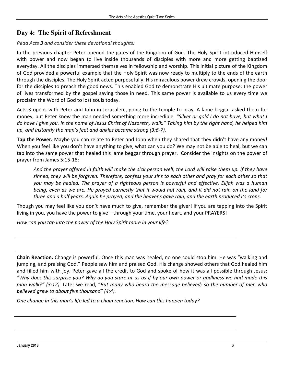## **Day 4: The Spirit of Refreshment**

#### *Read Acts 3 and consider these devotional thoughts:*

In the previous chapter Peter opened the gates of the Kingdom of God. The Holy Spirit introduced Himself with power and now began to live inside thousands of disciples with more and more getting baptized everyday. All the disciples immersed themselves in fellowship and worship. This initial picture of the Kingdom of God provided a powerful example that the Holy Spirit was now ready to multiply to the ends of the earth through the disciples. The Holy Spirit acted purposefully. His miraculous power drew crowds, opening the door for the disciples to preach the good news. This enabled God to demonstrate His ultimate purpose: the power of lives transformed by the gospel saving those in need. This same power is available to us every time we proclaim the Word of God to lost souls today.

Acts 3 opens with Peter and John in Jerusalem, going to the temple to pray. A lame beggar asked them for money, but Peter knew the man needed something more incredible. *"Silver or gold I do not have, but what I do have I give you. In the name of Jesus Christ of Nazareth, walk." Taking him by the right hand, he helped him*  up, and instantly the man's feet and ankles became strong (3:6-7).

**Tap the Power.** Maybe you can relate to Peter and John when they shared that they didn't have any money! When you feel like you don't have anything to give, what can you do? We may not be able to heal, but we can tap into the same power that healed this lame beggar through prayer. Consider the insights on the power of prayer from James 5:15-18:

And the prayer offered in faith will make the sick person well; the Lord will raise them up. If they have sinned, they will be forgiven. Therefore, confess your sins to each other and pray for each other so that you may be healed. The prayer of a righteous person is powerful and effective. Elijah was a human *being, even as we are. He prayed earnestly that it would not rain, and it did not rain on the land for three and a half years. Again he prayed, and the heavens gave rain, and the earth produced its crops.* 

Though you may feel like you don't have much to give, remember the giver! If you are tapping into the Spirit living in you, you have the power to give – through your time, your heart, and your PRAYERS!

How can you tap into the power of the Holy Spirit more in your life?

**Chain Reaction.** Change is powerful. Once this man was healed, no one could stop him. He was "walking and jumping, and praising God." People saw him and praised God. His change showed others that God healed him and filled him with joy. Peter gave all the credit to God and spoke of how it was all possible through Jesus: *"Why does this surprise you? Why do you stare at us as if by our own power or godliness we had made this man* walk?" (3:12). Later we read, "But many who heard the message believed; so the number of men who *believed grew to about five thousand"* (4:4).

*One change in this man's life led to a chain reaction. How can this happen today?*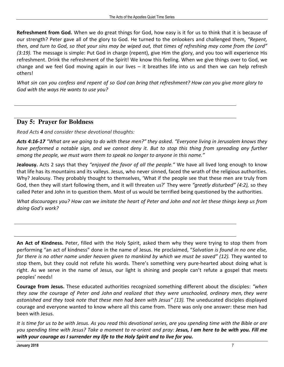**Refreshment from God.** When we do great things for God, how easy is it for us to think that it is because of our strength? Peter gave all of the glory to God. He turned to the onlookers and challenged them, "Repent, then, and turn to God, so that your sins may be wiped out, that times of refreshing may come from the Lord" *(3:19)*. The message is simple: Put God in charge (repent), give Him the glory, and you too will experience His refreshment. Drink the refreshment of the Spirit! We know this feeling. When we give things over to God, we change and we feel God moving again in our lives  $-$  it breathes life into us and then we can help refresh others! 

*What* sin can you confess and repent of so God can bring that refreshment? How can you give more glory to God with the ways He wants to use you?

## **Day 5: Prayer for Boldness**

*Read Acts 4 and consider these devotional thoughts:* 

Acts 4:16-17 "What are we going to do with these men?" they asked. "Everyone living in Jerusalem knows they *have performed a notable sign, and we cannot deny it. But to stop this thing from spreading any further among* the people, we must warn them to speak no longer to anyone in this name."

**Jealousy.** Acts 2 says that they "enjoyed the favor of all the people." We have all lived long enough to know that life has its mountains and its valleys. Jesus, who never sinned, faced the wrath of the religious authorities. Why? Jealousy. They probably thought to themselves, 'What if the people see that these men are truly from God, then they will start following them, and it will threaten us?' They were *"greatly disturbed"* (4:2), so they called Peter and John in to question them. Most of us would be terrified being questioned by the authorities.

*What discourages you? How can we imitate the heart of Peter and John and not let these things keep us from doing God's work?*

**An Act of Kindness.** Peter, filled with the Holy Spirit, asked them why they were trying to stop them from performing "an act of kindness" done in the name of Jesus. He proclaimed, "Salvation is found in no one else, *for there is no other name under heaven given to mankind by which we must be saved" (12).* They wanted to stop them, but they could not refute his words. There's something very pure-hearted about doing what is right. As we serve in the name of Jesus, our light is shining and people can't refute a gospel that meets peoples' needs! 

**Courage from Jesus.** These educated authorities recognized something different about the disciples: "when they saw the courage of Peter and John and realized that they were unschooled, ordinary men, they were astonished and they took note that these men had been with Jesus" (13). The uneducated disciples displayed courage and everyone wanted to know where all this came from. There was only one answer: these men had been with Jesus.

It is time for us to be with Jesus. As you read this devotional series, are you spending time with the Bible or are *you* spending time with Jesus? Take a moment to re-orient and pray: **Jesus, I am here to be with you. Fill me** *with* your courage as I surrender my life to the Holy Spirit and to live for you.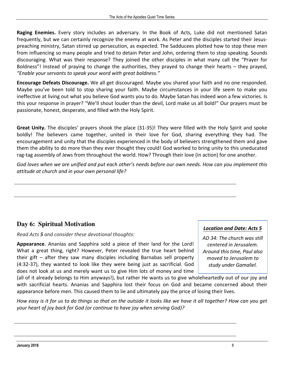**Raging Enemies.** Every story includes an adversary. In the Book of Acts, Luke did not mentioned Satan frequently, but we can certainly recognize the enemy at work. As Peter and the disciples started their Jesuspreaching ministry, Satan stirred up persecution, as expected. The Sadducees plotted how to stop these men from influencing so many people and tried to detain Peter and John, ordering them to stop speaking. Sounds discouraging. What was their response? They joined the other disciples in what many call the "Prayer for Boldness"! Instead of praying to change the authorities, they prayed to change their hearts – they prayed, "Enable your servants to speak your word with great boldness."

**Encourage Defeats Discourage.** We all get discouraged. Maybe you shared your faith and no one responded. Maybe you've been told to stop sharing your faith. Maybe circumstances in your life seem to make you ineffective at living out what you believe God wants you to do. Maybe Satan has indeed won a few victories. Is this your response in prayer? "We'll shout louder than the devil, Lord make us all bold!" Our prayers must be passionate, honest, desperate, and filled with the Holy Spirit.

**Great Unity.** The disciples' prayers shook the place (31-35)! They were filled with the Holy Spirit and spoke boldly! The believers came together, united in their love for God, sharing everything they had. The encouragement and unity that the disciples experienced in the body of believers strengthened them and gave them the ability to do more than they ever thought they could! God worked to bring unity to this uneducated rag-tag assembly of Jews from throughout the world. How? Through their love (in action) for one another.

God loves when we are unified and put each other's needs before our own needs. How can you implement this *attitude at church and in your own personal life?*

## **Day 6: Spiritual Motivation**

*Read Acts 5 and consider these devotional thoughts:* 

**Appearance**. Ananias and Sapphira sold a piece of their land for the Lord! What a great thing, right? However, Peter revealed the true heart behind their gift  $-$  after they saw many disciples including Barnabas sell property  $(4:32-37)$ , they wanted to look like they were being just as sacrificial. God does not look at us and merely want us to give Him lots of money and time

(all of it already belongs to Him anyways!), but rather He wants us to give wholeheartedly out of our joy and with sacrificial hearts. Ananias and Sapphira lost their focus on God and became concerned about their appearance before men. This caused them to lie and ultimately pay the price of losing their lives.

*How* easy is it for us to do things so that on the outside it looks like we have it all together? How can you get *your heart of joy back for God (or continue to have joy when serving God)?* 

*Location and Date: Acts 5*

*AD 34: The church was still centered in Jerusalem. Around this time, Paul also moved to Jerusalem to study under Gamaliel.*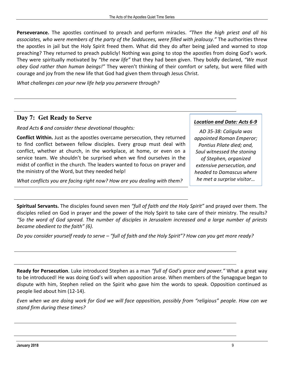Perseverance. The apostles continued to preach and perform miracles. "Then the high priest and all his associates, who were members of the party of the Sadducees, were filled with jealousy." The authorities threw the apostles in jail but the Holy Spirit freed them. What did they do after being jailed and warned to stop preaching? They returned to preach publicly! Nothing was going to stop the apostles from doing God's work. They were spiritually motivated by "the new life" that they had been given. They boldly declared, "We must *obey* God rather than human beings!" They weren't thinking of their comfort or safety, but were filled with courage and joy from the new life that God had given them through Jesus Christ.

What challenges can your new life help you persevere through?

#### **Day 7: Get Ready to Serve**

*Read Acts 6 and consider these devotional thoughts:* 

**Conflict Within.** Just as the apostles overcame persecution, they returned to find conflict between fellow disciples. Every group must deal with conflict, whether at church, in the workplace, at home, or even on a service team. We shouldn't be surprised when we find ourselves in the midst of conflict in the church. The leaders wanted to focus on prayer and the ministry of the Word, but they needed help!

*What conflicts you are facing right now?* How are you dealing with them?

*Location and Date: Acts 6-9*

*AD 35-38: Caligula was appointed Roman Emperor; Pontius Pilate died; and, Saul witnessed the stoning of Stephen, organized extensive persecution, and headed to Damascus where he met a surprise visitor…*

**Spiritual Servants.** The disciples found seven men "full of faith and the Holy Spirit" and prayed over them. The disciples relied on God in prayer and the power of the Holy Spirit to take care of their ministry. The results? *"So the word of God spread. The number of disciples in Jerusalem increased and a large number of priests became obedient* to the faith" (6).

*Do* you consider yourself ready to serve – "full of faith and the Holy Spirit"? How can you get more ready?

**Ready for Persecution**. Luke introduced Stephen as a man *"full of God's grace and power."* What a great way to be introduced! He was doing God's will when opposition arose. When members of the Synagogue began to dispute with him, Stephen relied on the Spirit who gave him the words to speak. Opposition continued as people lied about him (12-14).

*Even* when we are doing work for God we will face opposition, possibly from "religious" people. How can we *stand firm during these times?*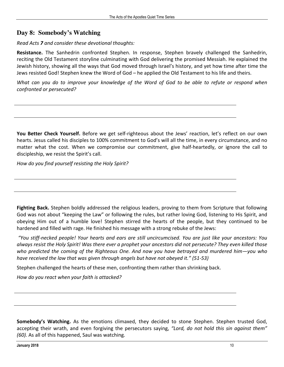## **Day 8: Somebody's Watching**

#### *Read Acts 7 and consider these devotional thoughts:*

**Resistance.** The Sanhedrin confronted Stephen. In response, Stephen bravely challenged the Sanhedrin, reciting the Old Testament storyline culminating with God delivering the promised Messiah. He explained the Jewish history, showing all the ways that God moved through Israel's history, and yet how time after time the Jews resisted God! Stephen knew the Word of God – he applied the Old Testament to his life and theirs.

*What can you do to improve your knowledge of the Word of God to be able to refute or respond when confronted or persecuted?* 

**You Better Check Yourself.** Before we get self-righteous about the Jews' reaction, let's reflect on our own hearts. Jesus called his disciples to 100% commitment to God's will all the time, in every circumstance, and no matter what the cost. When we compromise our commitment, give half-heartedly, or ignore the call to discipleship, we resist the Spirit's call.

*How do you find yourself resisting the Holy Spirit?* 

**Fighting Back.** Stephen boldly addressed the religious leaders, proving to them from Scripture that following God was not about "keeping the Law" or following the rules, but rather loving God, listening to His Spirit, and obeying Him out of a humble love! Stephen stirred the hearts of the people, but they continued to be hardened and filled with rage. He finished his message with a strong rebuke of the Jews:

 *"You stiff-necked people! Your hearts and ears are still uncircumcised. You are just like your ancestors: You*  always resist the Holy Spirit! Was there ever a prophet your ancestors did not persecute? They even killed those who predicted the coming of the Righteous One. And now you have betrayed and murdered him—you who *have received the law that was given through angels but have not obeyed it."* (51-53)

Stephen challenged the hearts of these men, confronting them rather than shrinking back.

How do you react when your faith is attacked?

**Somebody's Watching.** As the emotions climaxed, they decided to stone Stephen. Stephen trusted God, accepting their wrath, and even forgiving the persecutors saying, "Lord, do not hold this sin against them" *(60).* As all of this happened, Saul was watching.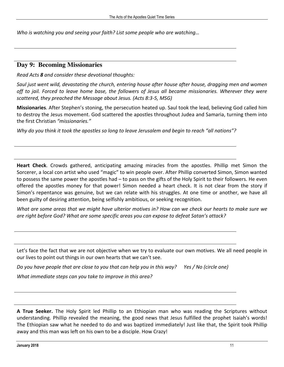*Who is watching you and seeing your faith? List some people who are watching...* 

#### **Day 9: Becoming Missionaries**

*Read Acts 8 and consider these devotional thoughts:* 

*Saul* just went wild, devastating the church, entering house after house after house, dragging men and women off to jail. Forced to leave home base, the followers of Jesus all became missionaries. Wherever they were scattered, they preached the Message about Jesus. (Acts 8:3-5, MSG)

**Missionaries**. After Stephen's stoning, the persecution heated up. Saul took the lead, believing God called him to destroy the Jesus movement. God scattered the apostles throughout Judea and Samaria, turning them into the first Christian *"missionaries."* 

*Why* do you think it took the apostles so long to leave Jerusalem and begin to reach "all nations"?

**Heart Check**. Crowds gathered, anticipating amazing miracles from the apostles. Phillip met Simon the Sorcerer, a local con artist who used "magic" to win people over. After Phillip converted Simon, Simon wanted to possess the same power the apostles had  $-$  to pass on the gifts of the Holy Spirit to their followers. He even offered the apostles money for that power! Simon needed a heart check. It is not clear from the story if Simon's repentance was genuine, but we can relate with his struggles. At one time or another, we have all been guilty of desiring attention, being selfishly ambitious, or seeking recognition.

*What are some areas that we might have ulterior motives in? How can we check our hearts to make sure we are right before God? What are some specific areas you can expose to defeat Satan's attack?* 

Let's face the fact that we are not objective when we try to evaluate our own motives. We all need people in our lives to point out things in our own hearts that we can't see.

*Do* you have people that are close to you that can help you in this way? Yes / No (circle one)

*What immediate steps can you take to improve in this area?* 

**A True Seeker.** The Holy Spirit led Phillip to an Ethiopian man who was reading the Scriptures without understanding. Phillip revealed the meaning, the good news that Jesus fulfilled the prophet Isaiah's words! The Ethiopian saw what he needed to do and was baptized immediately! Just like that, the Spirit took Phillip away and this man was left on his own to be a disciple. How Crazy!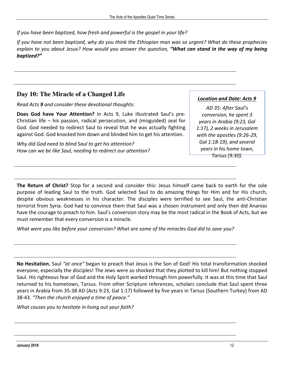*If you have been baptized, how fresh and powerful is the gospel in your life?* 

*If* you have not been baptized, why do you think the Ethiopian man was so urgent? What do these prophecies *explain* to you about Jesus? How would you answer the question, **"What can stand in the way of my being** *baptized?"* 

## **Day 10: The Miracle of a Changed Life**

*Read Acts 9 and consider these devotional thoughts:* 

**Does God have Your Attention?** In Acts 9, Luke illustrated Saul's pre-Christian life  $-$  his passion, radical persecution, and (misguided) zeal for God. God needed to redirect Saul to reveal that he was actually fighting against God. God knocked him down and blinded him to get his attention.

Why did God need to blind Saul to get his attention? *How can we be like Saul, needing to redirect our attention?* 

#### *Location and Date: Acts 9*

*AD 35: After Saul's conversion, he spent 3 years in Arabia (9:23, Gal 1:17), 2 weeks in Jerusalem with the apostles (9:26-29, Gal 1:18-19), and several years in his home town,* 

*Tarsus (9:30).*

**The Return of Christ?** Stop for a second and consider this: Jesus himself came back to earth for the sole purpose of leading Saul to the truth. God selected Saul to do amazing things for Him and for His church, despite obvious weaknesses in his character. The disciples were terrified to see Saul, the anti-Christian terrorist from Syria. God had to convince them that Saul was a chosen instrument and only then did Ananias have the courage to preach to him. Saul's conversion story may be the most radical in the Book of Acts, but we must remember that every conversion is a miracle.

*What* were you like before your conversion? What are some of the miracles God did to save you?

**No Hesitation.** Saul "at once" began to preach that Jesus is the Son of God! His total transformation shocked everyone, especially the disciples! The Jews were so shocked that they plotted to kill him! But nothing stopped Saul. His righteous fear of God and the Holy Spirit worked through him powerfully. It was at this time that Saul returned to his hometown, Tarsus. From other Scripture references, scholars conclude that Saul spent three years in Arabia from 35-38 AD (Acts 9:23, Gal 1:17) followed by five years in Tarsus (Southern Turkey) from AD 38-43. *"Then the church enjoyed a time of peace."* 

What causes you to hesitate in living out your faith?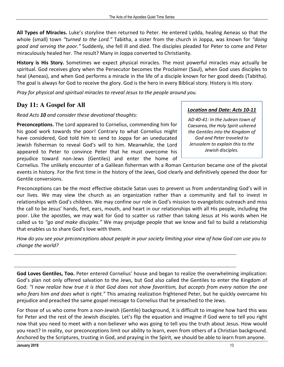All Types of Miracles. Luke's storyline then returned to Peter. He entered Lydda, healing Aeneas so that the whole (small) town *"turned to the Lord."* Tabitha, a sister from the church in Joppa, was known for *"doing good and serving the poor."* Suddenly, she fell ill and died. The disciples pleaded for Peter to come and Peter miraculously healed her. The result? Many in Joppa converted to Christianity.

**History is His Story.** Sometimes we expect physical miracles. The most powerful miracles may actually be spiritual. God receives glory when the Persecutor becomes the Proclaimer (Saul), when God uses disciples to heal (Aeneas), and when God performs a miracle in the life of a disciple known for her good deeds (Tabitha). The goal is always for God to receive the glory. God is the hero in every Biblical story. History is His story.

*Pray for physical and spiritual miracles to reveal Jesus to the people around you.* 

## **Day 11: A Gospel for All**

*Read Acts 10 and consider these devotional thoughts:* 

**Preconceptions.** The Lord appeared to Cornelius, commending him for his good work towards the poor! Contrary to what Cornelius might have considered, God told him to send to Joppa for an uneducated Jewish fisherman to reveal God's will to him. Meanwhile, the Lord appeared to Peter to convince Peter that he must overcome his prejudice toward non-Jews (Gentiles) and enter the home of

## *Location and Date: Acts 10-11*

*AD 40-41: In the Judean town of Caesarea, the Holy Spirit ushered the Gentiles into the Kingdom of God and Peter traveled to Jerusalem to explain this to the Jewish disciples.*

Cornelius. The unlikely encounter of a Galilean fisherman with a Roman Centurion became one of the pivotal events in history. For the first time in the history of the Jews, God clearly and definitively opened the door for Gentile conversions.

Preconceptions can be the most effective obstacle Satan uses to prevent us from understanding God's will in our lives. We may view the church as an organization rather than a community and fail to invest in relationships with God's children. We may confine our role in God's mission to evangelistic outreach and miss the call to be Jesus' hands, feet, ears, mouth, and heart in our relationships with all His people, including the poor. Like the apostles, we may wait for God to scatter us rather than taking Jesus at His words when He called us to *"go and make disciples."* We may prejudge people that we know and fail to build a relationship that enables us to share God's love with them.

*How do you see your preconceptions about people in your society limiting your view of how God can use you to*  change the world?

God Loves Gentiles, Too. Peter entered Cornelius' house and began to realize the overwhelming implication: God's plan not only offered salvation to the Jews, but God also called the Gentiles to enter the Kingdom of God: "I now realize how true it is that God does not show favoritism, but accepts from every nation the one who fears him and does what is right." This amazing realization frightened Peter, but he quickly overcame his prejudice and preached the same gospel message to Cornelius that he preached to the Jews.

For those of us who come from a non-Jewish (Gentile) background, it is difficult to imagine how hard this was for Peter and the rest of the Jewish disciples. Let's flip the equation and imagine if God were to tell you right now that you need to meet with a non-believer who was going to tell you the truth about Jesus. How would you react? In reality, our preconceptions limit our ability to learn, even from others of a Christian background. Anchored by the Scriptures, trusting in God, and praying in the Spirit, we should be able to learn from anyone.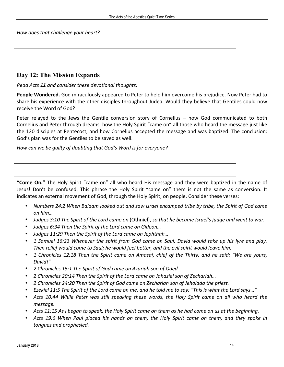How does that challenge your heart?

#### **Day 12: The Mission Expands**

*Read Acts* 11 *and consider these devotional thoughts:* 

**People Wondered.** God miraculously appeared to Peter to help him overcome his prejudice. Now Peter had to share his experience with the other disciples throughout Judea. Would they believe that Gentiles could now receive the Word of God?

Peter relayed to the Jews the Gentile conversion story of Cornelius  $-$  how God communicated to both Cornelius and Peter through dreams, how the Holy Spirit "came on" all those who heard the message just like the 120 disciples at Pentecost, and how Cornelius accepted the message and was baptized. The conclusion: God's plan was for the Gentiles to be saved as well.

How can we be quilty of doubting that God's Word is for everyone?

**"Come On."** The Holy Spirit "came on" all who heard His message and they were baptized in the name of Jesus! Don't be confused. This phrase the Holy Spirit "came on" them is not the same as conversion. It indicates an external movement of God, through the Holy Spirit, on people. Consider these verses:

- Numbers 24:2 When Balaam looked out and saw Israel encamped tribe by tribe, the Spirit of God came *on him…*
- *Judges* 3:10 The Spirit of the Lord came on (Othniel), so that he became Israel's judge and went to war.
- Judges 6:34 Then the Spirit of the Lord came on Gideon...
- Judges 11:29 Then the Spirit of the Lord came on Jephthah...
- *1 Samuel 16:23 Whenever the spirit from God came on Saul, David would take up his lyre and play.* Then relief would come to Saul; he would feel better, and the evil spirit would leave him.
- *1 Chronicles 12:18 Then the Spirit came on Amasai, chief of the Thirty, and he said: "We are yours, David!"*
- *2 Chronicles 15:1 The Spirit of God came on Azariah son of Oded.*
- *2 Chronicles 20:14 Then the Spirit of the Lord came on Jahaziel son of Zechariah…*
- *2 Chronicles 24:20 Then the Spirit of God came on Zechariah son of Jehoiada the priest.*
- *Ezekiel 11:5 The Spirit of the Lord came on me, and he told me to say: "This is what the Lord says…"*
- Acts 10:44 While Peter was still speaking these words, the Holy Spirit came on all who heard the *message.*
- Acts 11:15 As I began to speak, the Holy Spirit came on them as he had come on us at the beginning.
- Acts 19:6 When Paul placed his hands on them, the Holy Spirit came on them, and they spoke in *tongues and prophesied.*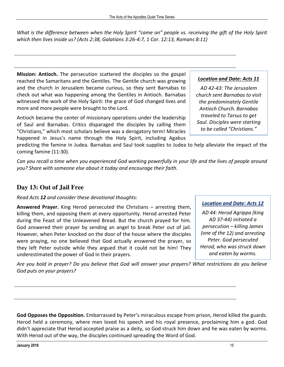*What is the difference between when the Holy Spirit* "came on" people vs. receiving the gift of the Holy Spirit *which then lives inside us?* (Acts 2:38, Galatians 3:26-4:7, 1 Cor. 12:13, Romans 8:11)

**Mission: Antioch.** The persecution scattered the disciples so the gospel reached the Samaritans and the Gentiles. The Gentile church was growing and the church in Jerusalem became curious, so they sent Barnabas to check out what was happening among the Gentiles in Antioch. Barnabas witnessed the work of the Holy Spirit: the grace of God changed lives and more and more people were brought to the Lord.

Antioch became the center of missionary operations under the leadership of Saul and Barnabas. Critics disparaged the disciples by calling them "Christians," which most scholars believe was a derogatory term! Miracles happened in Jesus's name through the Holy Spirit, including Agabus

predicting the famine in Judea. Barnabas and Saul took supplies to Judea to help alleviate the impact of the coming famine (11:30).

*Can* you recall a time when you experienced God working powerfully in your life and the lives of people around you? Share with someone else about it today and encourage their faith.

## **Day 13: Out of Jail Free**

*Read Acts* 12 *and consider these devotional thoughts:* 

**Answered Prayer.** King Herod persecuted the Christians – arresting them, killing them, and opposing them at every opportunity. Herod arrested Peter during the Feast of the Unleavened Bread. But the church prayed for him. God answered their prayer by sending an angel to break Peter out of jail. However, when Peter knocked on the door of the house where the disciples were praying, no one believed that God actually answered the prayer, so they left Peter outside while they argued that it could not be him! They underestimated the power of God in their prayers.

## *Location and Date: Acts 11*

*AD 42-43: The Jerusalem church sent Barnabas to visit the predominately Gentile Antioch Church. Barnabas traveled to Tarsus to get Saul. Disciples were starting to be called "Christians."*

#### *Location and Date: Acts 12*

*AD 44: Herod Agrippa (king AD 37-44) initiated a persecution – killing James (one of the 12) and arresting Peter. God persecuted Herod, who was struck down and eaten by worms.*

Are you bold in prayer? Do you believe that God will answer your prayers? What restrictions do you believe *God puts on your prayers?* 

**God Opposes the Opposition.** Embarrassed by Peter's miraculous escape from prison, Herod killed the guards. Herod held a ceremony, where men loved his speech and his royal presence, proclaiming him a god. God didn't appreciate that Herod accepted praise as a deity, so God struck him down and he was eaten by worms. With Herod out of the way, the disciples continued spreading the Word of God.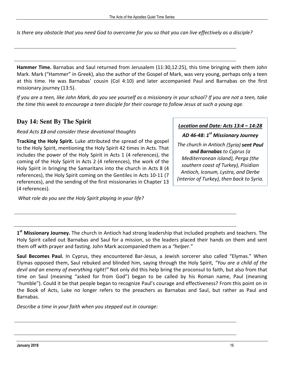*Is* there any obstacle that you need God to overcome for you so that you can live effectively as a disciple?

**Hammer Time.** Barnabas and Saul returned from Jerusalem (11:30,12:25), this time bringing with them John Mark. Mark ("Hammer" in Greek), also the author of the Gospel of Mark, was very young, perhaps only a teen at this time. He was Barnabas' cousin (Col 4:10) and later accompanied Paul and Barnabas on the first missionary journey (13:5).

*If* you are a teen, like John Mark, do you see yourself as a missionary in your school? If you are not a teen, take the time this week to encourage a teen disciple for their courage to follow Jesus at such a young age.

## **Day 14: Sent By The Spirit**

*Read Acts 13 and consider these devotional thoughts* 

**Tracking the Holy Spirit.** Luke attributed the spread of the gospel to the Holy Spirit, mentioning the Holy Spirit 42 times in Acts. That includes the power of the Holy Spirit in Acts 1 (4 references), the coming of the Holy Spirit in Acts 2 (4 references), the work of the Holy Spirit in bringing the Samaritans into the church in Acts 8 (4 references), the Holy Spirit coming on the Gentiles in Acts 10-11 (7) references), and the sending of the first missionaries in Chapter 13 (4 references).

What role do you see the Holy Spirit playing in your life?

*Location and Date: Acts 13:4 – 14:28*

*AD 46-48: 1 st Missionary Journey* 

*The church in Antioch (Syria) sent Paul and Barnabas to Cyprus (a Mediterranean island), Perga (the southern coast of Turkey), Pisidian*  Antioch, Iconum, Lystra, and Derbe *(interior of Turkey), then back to Syria.*

1<sup>st</sup> Missionary Journey. The church in Antioch had strong leadership that included prophets and teachers. The Holy Spirit called out Barnabas and Saul for a mission, so the leaders placed their hands on them and sent them off with prayer and fasting. John Mark accompanied them as a "helper."

**Saul Becomes Paul.** In Cyprus, they encountered Bar-Jesus, a Jewish sorcerer also called "Elymas." When Elymas opposed them, Saul rebuked and blinded him, saying through the Holy Spirit, "You are a child of the *devil and an enemy of everything right!"* Not only did this help bring the proconsul to faith, but also from that time on Saul (meaning "asked for from God") began to be called by his Roman name, Paul (meaning "humble"). Could it be that people began to recognize Paul's courage and effectiveness? From this point on in the Book of Acts, Luke no longer refers to the preachers as Barnabas and Saul, but rather as Paul and Barnabas. 

Describe a time in your faith when you stepped out in courage: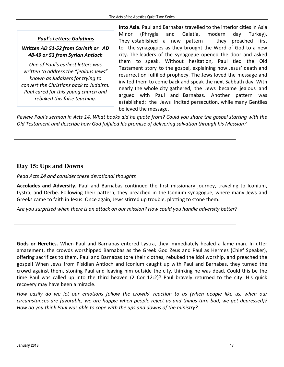#### *Paul's Letters: Galatians*

#### *Written AD 51-52 from Corinth or AD 48-49 or 53 from Syrian Antioch*

*One of Paul's earliest letters was written to address the "jealous Jews" known as Judaizers for trying to convert the Christians back to Judaism. Paul cared for this young church and rebuked this false teaching.*

**Into Asia.** Paul and Barnabas travelled to the interior cities in Asia Minor (Phrygia and Galatia, modern day Turkey). They established a new pattern  $-$  they preached first to the synagogues as they brought the Word of God to a new city. The leaders of the synagogue opened the door and asked them to speak. Without hesitation, Paul tied the Old Testament story to the gospel, explaining how Jesus' death and resurrection fulfilled prophecy. The Jews loved the message and invited them to come back and speak the next Sabbath day. With nearly the whole city gathered, the Jews became jealous and argued with Paul and Barnabas. Another pattern was established: the Jews incited persecution, while many Gentiles believed the message.

*Review Paul's sermon in Acts 14. What books did he quote from? Could you share the gospel starting with the Old Testament and describe how God fulfilled his promise of delivering salvation through his Messiah?* 

## **Day 15: Ups and Downs**

#### *Read Acts 14 and consider these devotional thoughts*

Accolades and Adversity. Paul and Barnabas continued the first missionary journey, traveling to Iconium, Lystra, and Derbe. Following their pattern, they preached in the Iconium synagogue, where many Jews and Greeks came to faith in Jesus. Once again, Jews stirred up trouble, plotting to stone them.

Are you surprised when there is an attack on our mission? How could you handle adversity better?

Gods or Heretics. When Paul and Barnabas entered Lystra, they immediately healed a lame man. In utter amazement, the crowds worshipped Barnabas as the Greek God Zeus and Paul as Hermes (Chief Speaker), offering sacrifices to them. Paul and Barnabas tore their clothes, rebuked the idol worship, and preached the gospel! When Jews from Pisidian Antioch and Iconium caught up with Paul and Barnabas, they turned the crowd against them, stoning Paul and leaving him outside the city, thinking he was dead. Could this be the time Paul was called up into the third heaven  $(2$  Cor 12:2)? Paul bravely returned to the city. His quick recovery may have been a miracle.

*How* easily do we let our emotions follow the crowds' reaction to us (when people like us, when our *circumstances are favorable, we are happy;* when people reject us and things turn bad, we get depressed)? *How do you think Paul was able to cope with the ups and downs of the ministry?*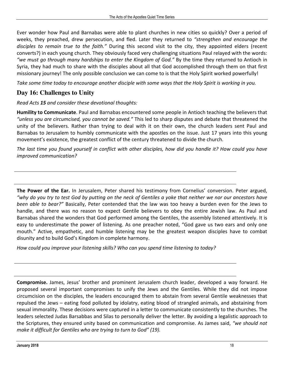Ever wonder how Paul and Barnabas were able to plant churches in new cities so quickly? Over a period of weeks, they preached, drew persecution, and fled. Later they returned to "strengthen and encourage the *disciples* to remain true to the faith." During this second visit to the city, they appointed elders (recent converts?) in each young church. They obviously faced very challenging situations Paul relayed with the words: "we must go through many hardships to enter the Kingdom of God." By the time they returned to Antioch in Syria, they had much to share with the disciples about all that God accomplished through them on that first missionary journey! The only possible conclusion we can come to is that the Holy Spirit worked powerfully!

Take some time today to encourage another disciple with some ways that the Holy Spirit is working in you.

## **Day 16: Challenges to Unity**

*Read Acts* 15 *and consider these devotional thoughts:* 

**Humility to Communicate**. Paul and Barnabas encountered some people in Antioch teaching the believers that *"unless you are circumcised, you cannot be saved."* This led to sharp disputes and debate that threatened the unity of the believers. Rather than trying to deal with it on their own, the church leaders sent Paul and Barnabas to Jerusalem to humbly communicate with the apostles on the issue. Just 17 years into this young movement's existence, the greatest conflict of the century threatened to divide the church.

The last time you found yourself in conflict with other disciples, how did you handle it? How could you have *improved communication?* 

The Power of the Ear. In Jerusalem, Peter shared his testimony from Cornelius' conversion. Peter argued, *"why do you try to test God by putting on the neck of Gentiles a yoke that neither we nor our ancestors have been able to bear?"* Basically, Peter contended that the law was too heavy a burden even for the Jews to handle, and there was no reason to expect Gentile believers to obey the entire Jewish law. As Paul and Barnabas shared the wonders that God performed among the Gentiles, the assembly listened attentively. It is easy to underestimate the power of listening. As one preacher noted, "God gave us two ears and only one mouth." Active, empathetic, and humble listening may be the greatest weapon disciples have to combat disunity and to build God's Kingdom in complete harmony.

How could you improve your listening skills? Who can you spend time listening to today?

Compromise. James, Jesus' brother and prominent Jerusalem church leader, developed a way forward. He proposed several important compromises to unify the Jews and the Gentiles. While they did not impose circumcision on the disciples, the leaders encouraged them to abstain from several Gentile weaknesses that repulsed the Jews – eating food polluted by idolatry, eating blood of strangled animals, and abstaining from sexual immorality. These decisions were captured in a letter to communicate consistently to the churches. The leaders selected Judas Barsabbas and Silas to personally deliver the letter. By avoiding a legalistic approach to the Scriptures, they ensured unity based on communication and compromise. As James said, "we should not *make it difficult for Gentiles who are trying to turn to God" (19).*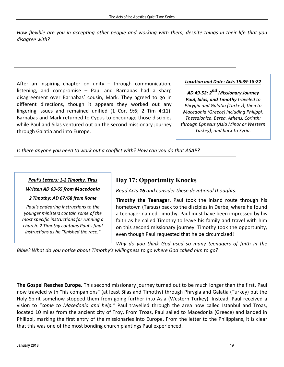How flexible are you in accepting other people and working with them, despite things in their life that you disagree with?

After an inspiring chapter on unity  $-$  through communication, listening, and compromise  $-$  Paul and Barnabas had a sharp disagreement over Barnabas' cousin, Mark. They agreed to go in different directions, though it appears they worked out any lingering issues and remained unified  $(1$  Cor. 9:6; 2 Tim 4:11). Barnabas and Mark returned to Cypus to encourage those disciples while Paul and Silas ventured out on the second missionary journey through Galatia and into Europe.

#### *Location and Date: Acts 15:39-18:22*

*AD 49-52: 2 nd Missionary Journey Paul, Silas, and Timothy traveled to Phrygia and Galatia (Turkey); then to Macedonia (Greece) including Philippi, Thessalonica, Berea, Athens, Corinth; through Ephesus (Asia Minor or Western Turkey); and back to Syria.*

Is there anyone you need to work out a conflict with? How can you do that ASAP?

#### *Paul's Letters: 1-2 Timothy, Titus*

*Written AD 63-65 from Macedonia* 

#### *2 Timothy: AD 67/68 from Rome*

*Paul's endearing instructions to the younger ministers contain some of the most specific instructions for running a church. 2 Timothy contains Paul's final instructions as he "finished the race."*

## **Day 17: Opportunity Knocks**

*Read Acts 16 and consider these devotional thoughts:* 

**Timothy the Teenager.** Paul took the inland route through his hometown (Tarsus) back to the disciples in Derbe, where he found a teenager named Timothy. Paul must have been impressed by his faith as he called Timothy to leave his family and travel with him on this second missionary journey. Timothy took the opportunity, even though Paul requested that he be circumcised!

Why do you think God used so many teenagers of faith in the

*Bible?* What do you notice about Timothy's willingness to go where God called him to go?

The Gospel Reaches Europe. This second missionary journey turned out to be much longer than the first. Paul now traveled with "his companions" (at least Silas and Timothy) through Phrygia and Galatia (Turkey) but the Holy Spirit somehow stopped them from going further into Asia (Western Turkey). Instead, Paul received a vision to "come to Macedonia and help." Paul travelled through the area now called Istanbul and Troas, located 10 miles from the ancient city of Troy. From Troas, Paul sailed to Macedonia (Greece) and landed in Philippi, marking the first entry of the missionaries into Europe. From the letter to the Philippians, it is clear that this was one of the most bonding church plantings Paul experienced.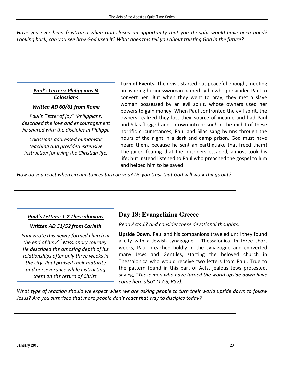Have you ever been frustrated when God closed an opportunity that you thought would have been good? Looking back, can you see how God used it? What does this tell you about trusting God in the future?

#### *Paul's Letters: Philippians & Colossians*

*Written AD 60/61 from Rome* 

*Paul's "letter of joy" (Philippians) described the love and encouragement he shared with the disciples in Philippi.* 

*Colossians addressed humanistic teaching and provided extensive instruction for living the Christian life.* Turn of Events. Their visit started out peaceful enough, meeting an aspiring businesswoman named Lydia who persuaded Paul to convert her! But when they went to pray, they met a slave woman possessed by an evil spirit, whose owners used her powers to gain money. When Paul confronted the evil spirit, the owners realized they lost their source of income and had Paul and Silas flogged and thrown into prison! In the midst of these horrific circumstances, Paul and Silas sang hymns through the hours of the night in a dark and damp prison. God must have heard them, because he sent an earthquake that freed them! The jailer, fearing that the prisoners escaped, almost took his life; but instead listened to Paul who preached the gospel to him and helped him to be saved!

How do you react when circumstances turn on you? Do you trust that God will work things out?

## *Paul's Letters: 1-2 Thessalonians*

#### *Written AD 51/52 from Corinth*

*Paul wrote this newly-formed church at the end of his 2 nd Missionary Journey. He described the amazing depth of his relationships after only three weeks in the city. Paul praised their maturity and perseverance while instructing them on the return of Christ.*

## **Day 18: Evangelizing Greece**

*Read Acts* 17 *and consider these devotional thoughts:* 

**Upside Down.** Paul and his companions traveled until they found a city with a Jewish synagogue  $-$  Thessalonica. In three short weeks, Paul preached boldly in the synagogue and converted many Jews and Gentiles, starting the beloved church in Thessalonica who would receive two letters from Paul. True to the pattern found in this part of Acts, jealous Jews protested, saying, "These men who have turned the world upside down have *come here also" (17:6, RSV).*

*What type of reaction should* we expect when we are asking people to turn their world upside down to follow Jesus? Are you surprised that more people don't react that way to disciples today?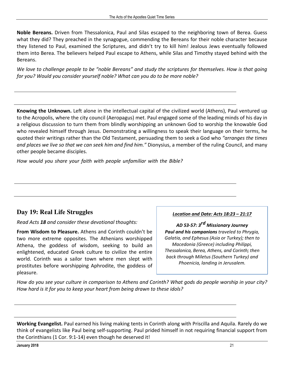**Noble Bereans.** Driven from Thessalonica, Paul and Silas escaped to the neighboring town of Berea. Guess what they did? They preached in the synagogue, commending the Bereans for their noble character because they listened to Paul, examined the Scriptures, and didn't try to kill him! Jealous Jews eventually followed them into Berea. The believers helped Paul escape to Athens, while Silas and Timothy stayed behind with the Bereans. 

*We love to challenge people to be "noble Bereans" and study the scriptures for themselves. How is that going for you?* Would you consider yourself noble? What can you do to be more noble?

Knowing the Unknown. Left alone in the intellectual capital of the civilized world (Athens), Paul ventured up to the Acropolis, where the city council (Aeropagus) met. Paul engaged some of the leading minds of his day in a religious discussion to turn them from blindly worshipping an unknown God to worship the knowable God who revealed himself through Jesus. Demonstrating a willingness to speak their language on their terms, he quoted their writings rather than the Old Testament, persuading them to seek a God who "arranges the times and places we live so that we can seek him and find him." Dionysius, a member of the ruling Council, and many other people became disciples.

How would you share your faith with people unfamiliar with the Bible?

## **Day 19: Real Life Struggles**

*Read Acts 18 and consider these devotional thoughts:* 

From Wisdom to Pleasure. Athens and Corinth couldn't be two more extreme opposites. The Athenians worshipped Athena, the goddess of wisdom, seeking to build an enlightened, educated Greek culture to civilize the entire world. Corinth was a sailor town where men slept with prostitutes before worshipping Aphrodite, the goddess of pleasure. 

#### *Location and Date: Acts 18:23 – 21:17*

*AD 53-57: 3rd Missionary Journey Paul and his companions traveled to Phrygia, Galatia, and Ephesus (Asia or Turkey); then to Macedonia (Greece) including Philippi, Thessalonica, Berea, Athens, and Corinth; then back through Miletus (Southern Turkey) and Phoenicia, landing in Jerusalem.* 

How do you see your culture in comparison to Athens and Corinth? What gods do people worship in your city? How hard is it for you to keep your heart from being drawn to these idols?

**Working Evangelist.** Paul earned his living making tents in Corinth along with Priscilla and Aquila. Rarely do we think of evangelists like Paul being self-supporting. Paul prided himself in not requiring financial support from the Corinthians  $(1$  Cor. 9:1-14) even though he deserved it!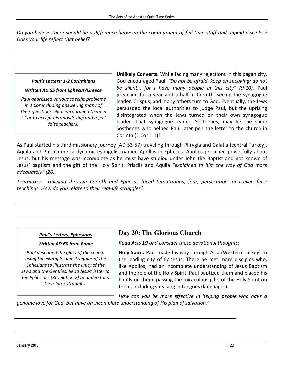*Do* you believe there should be a difference between the commitment of full-time staff and unpaid disciples? *Does* your life reflect that belief?

#### *Paul's Letters: 1-2 Corinthians*

#### *Written AD 55 from Ephesus/Greece*

*Paul addressed various specific problems in 1 Cor including answering many of their questions. Paul encouraged them in 2 Cor to accept his apostleship and reject false teachers.*

**Unlikely Converts.** While facing many rejections in this pagan city, God encouraged Paul: "Do not be afraid, keep on speaking; do not be silent... for I have many people in this city" (9-10). Paul preached for a year and a half in Corinth, seeing the synagogue leader, Crispus, and many others turn to God. Eventually, the Jews persuaded the local authorities to judge Paul, but the uprising disintegrated when the Jews turned on their own synagogue leader. That synagogue leader, Sosthenes, may be the same Sosthenes who helped Paul later pen the letter to the church in Corinth  $(1$  Cor  $1:1)$ !

As Paul started his third missionary journey (AD 53-57) traveling through Phrygia and Galatia (central Turkey), Aquila and Priscila met a dynamic evangelist named Apollos in Ephesus. Apollos preached powerfully about Jesus, but his message was incomplete as he must have studied under John the Baptist and not known of Jesus' baptism and the gift of the Holy Spirit. Priscila and Aquila "explained to him the way of God more *adequately" (26).* 

*Tentmakers traveling through Corinth and Ephesus faced temptations, fear, persecution, and even false teachings. How do you relate to their real-life struggles?* 

#### *Paul's Letters: Ephesians*

#### *Written AD 60 from Rome*

*Paul described the glory of the church using the example and struggles of the Ephesians to illustrate the unity of the Jews and the Gentiles. Read Jesus' letter to the Ephesians (Revelation 2) to understand their later struggles.*

## **Day 20: The Glorious Church**

*Read Acts* **19** and consider these devotional thoughts:

**Holy Spirit.** Paul made his way through Asia (Western Turkey) to the leading city of Ephesus. There he met more disciples who, like Apollos, had an incomplete understanding of Jesus Baptism and the role of the Holy Spirit. Paul baptized them and placed his hands on them, passing the miraculous gifts of the Holy Spirit on them, including speaking in tongues (languages).

How can you be more effective in helping people who have a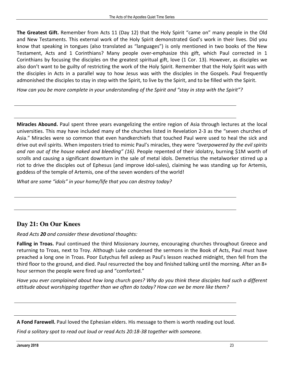**The Greatest Gift.** Remember from Acts 11 (Day 12) that the Holy Spirit "came on" many people in the Old and New Testaments. This external work of the Holy Spirit demonstrated God's work in their lives. Did you know that speaking in tongues (also translated as "languages") is only mentioned in two books of the New Testament, Acts and 1 Corinthians? Many people over-emphasize this gift, which Paul corrected in 1 Corinthians by focusing the disciples on the greatest spiritual gift, love (1 Cor. 13). However, as disciples we also don't want to be guilty of restricting the work of the Holy Spirit. Remember that the Holy Spirit was with the disciples in Acts in a parallel way to how Jesus was with the disciples in the Gospels. Paul frequently admonished the disciples to stay in step with the Spirit, to live by the Spirit, and to be filled with the Spirit.

How can you be more complete in your understanding of the Spirit and "stay in step with the Spirit"?

**Miracles Abound.** Paul spent three years evangelizing the entire region of Asia through lectures at the local universities. This may have included many of the churches listed in Revelation 2-3 as the "seven churches of Asia." Miracles were so common that even handkerchiefs that touched Paul were used to heal the sick and drive out evil spirits. When imposters tried to mimic Paul's miracles, they were "overpowered by the evil spirits *and ran out of the house naked and bleeding" (16).* People repented of their idolatry, burning \$1M worth of scrolls and causing a significant downturn in the sale of metal idols. Demetrius the metalworker stirred up a riot to drive the disciples out of Ephesus (and improve idol-sales), claiming he was standing up for Artemis, goddess of the temple of Artemis, one of the seven wonders of the world!

*What are some "idols" in your home/life that you can destroy today?* 

## **Day 21: On Our Knees**

*Read Acts 20 and consider these devotional thoughts:* 

**Falling in Troas.** Paul continued the third Missionary Journey, encouraging churches throughout Greece and returning to Troas, next to Troy. Although Luke condensed the sermons in the Book of Acts, Paul must have preached a long one in Troas. Poor Eutychus fell asleep as Paul's lesson reached midnight, then fell from the third floor to the ground, and died. Paul resurrected the boy and finished talking until the morning. After an  $8+$ hour sermon the people were fired up and "comforted."

Have you ever complained about how long church goes? Why do you think these disciples had such a different *attitude about worshipping together than we often do today? How can we be more like them?* 

A Fond Farewell. Paul loved the Ephesian elders. His message to them is worth reading out loud.

*Find a solitary spot to read out loud or read Acts 20:18-38 together with someone.*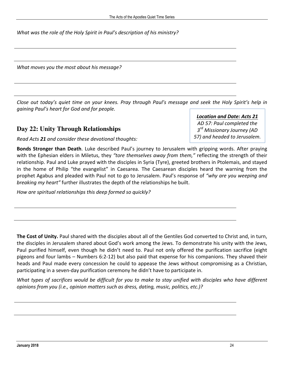What was the role of the Holy Spirit in Paul's description of his ministry?

*What moves you the most about his message?* 

*Close* out today's quiet time on your knees. Pray through Paul's message and seek the Holy Spirit's help in gaining Paul's heart for God and for people.

#### **Day 22: Unity Through Relationships**

*Read Acts* 21 *and consider these devotional thoughts:* 

**Bonds Stronger than Death**. Luke described Paul's journey to Jerusalem with gripping words. After praying with the Ephesian elders in Miletus, they *"tore themselves away from them,"* reflecting the strength of their relationship. Paul and Luke prayed with the disciples in Syria (Tyre), greeted brothers in Ptolemais, and stayed in the home of Philip "the evangelist" in Caesarea. The Caesarean disciples heard the warning from the prophet Agabus and pleaded with Paul not to go to Jerusalem. Paul's response of *"why are you weeping and breaking* my *heart*" further illustrates the depth of the relationships he built.

How are spiritual relationships this deep formed so quickly?

**The Cost of Unity.** Paul shared with the disciples about all of the Gentiles God converted to Christ and, in turn, the disciples in Jerusalem shared about God's work among the Jews. To demonstrate his unity with the Jews, Paul purified himself, even though he didn't need to. Paul not only offered the purification sacrifice (eight pigeons and four lambs – Numbers 6:2-12) but also paid that expense for his companions. They shaved their heads and Paul made every concession he could to appease the Jews without compromising as a Christian, participating in a seven-day purification ceremony he didn't have to participate in.

*What types of sacrifices would be difficult for you to make to stay unified with disciples who have different opinions from you (i.e., opinion matters such as dress, dating, music, politics, etc.)?* 

## *Location and Date: Acts 21*

*AD 57: Paul completed the 3 rd Missionary Journey (AD 57) and headed to Jerusalem.*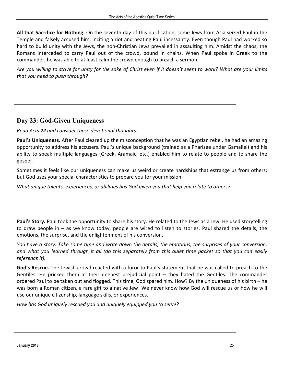**All that Sacrifice for Nothing.** On the seventh day of this purification, some Jews from Asia seized Paul in the Temple and falsely accused him, inciting a riot and beating Paul incessantly. Even though Paul had worked so hard to build unity with the Jews, the non-Christian Jews prevailed in assaulting him. Amidst the chaos, the Romans interceded to carry Paul out of the crowd, bound in chains. When Paul spoke in Greek to the commander, he was able to at least calm the crowd enough to preach a sermon.

Are you willing to strive for unity for the sake of Christ even if it doesn't seem to work? What are your limits *that you need to push through?*

## **Day 23: God-Given Uniqueness**

*Read Acts 22 and consider these devotional thoughts:* 

**Paul's Uniqueness.** After Paul cleared up the misconception that he was an Egyptian rebel, he had an amazing opportunity to address his accusers. Paul's unique background (trained as a Pharisee under Gamaliel) and his ability to speak multiple languages (Greek, Aramaic, etc.) enabled him to relate to people and to share the gospel. 

Sometimes it feels like our uniqueness can make us weird or create hardships that estrange us from others; but God uses your special characteristics to prepare you for your mission.

*What unique talents, experiences, or abilities has God given you that help you relate to others?* 

**Paul's Story.** Paul took the opportunity to share his story. He related to the Jews as a Jew. He used storytelling to draw people in  $-$  as we know today, people are wired to listen to stories. Paul shared the details, the emotions, the surprise, and the enlightenment of his conversion.

*You* have a story. Take some time and write down the details, the emotions, the surprises of your conversion, and what you learned through it all (do this separately from this quiet time packet so that you can easily *reference it).* 

God's Rescue. The Jewish crowd reacted with a furor to Paul's statement that he was called to preach to the Gentiles. He pricked them at their deepest prejudicial point  $-$  they hated the Gentiles. The commander ordered Paul to be taken out and flogged. This time, God spared him. How? By the uniqueness of his birth – he was born a Roman citizen, a rare gift to a native Jew! We never know how God will rescue us or how he will use our unique citizenship, language skills, or experiences.

*How has God uniquely rescued you and uniquely equipped you to serve?*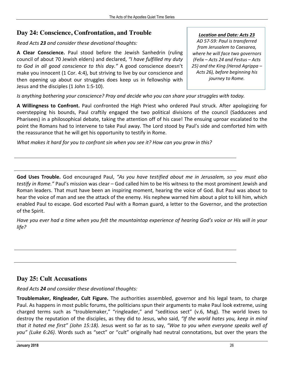## **Day 24: Conscience, Confrontation, and Trouble**

*Read Acts* 23 *and consider these devotional thoughts:* 

A Clear Conscience. Paul stood before the Jewish Sanhedrin (ruling council of about 70 Jewish elders) and declared, "I have fulfilled my duty to God in all good conscience to this day." A good conscience doesn't make you innocent  $(1$  Cor. 4:4), but striving to live by our conscience and then opening up about our struggles does keep us in fellowship with Jesus and the disciples (1 John 1:5-10).

#### *Location and Date: Acts 23*

*AD 57-59: Paul is transferred from Jerusalem to Caesarea, where he will face two governors (Felix – Acts 24 and Festus – Acts 25) and the King (Herod Agrippa – Acts 26), before beginning his journey to Rome.*

*Is* anything bothering your conscience? Pray and decide who you can share your struggles with today.

A Willingness to Confront. Paul confronted the High Priest who ordered Paul struck. After apologizing for overstepping his bounds, Paul craftily engaged the two political divisions of the council (Sadducees and Pharisees) in a philosophical debate, taking the attention off of his case! The ensuing uproar escalated to the point the Romans had to intervene to take Paul away. The Lord stood by Paul's side and comforted him with the reassurance that he will get his opportunity to testify in Rome.

What makes it hard for you to confront sin when you see it? How can you grow in this?

**God Uses Trouble.** God encouraged Paul, *"As you have testified about me in Jerusalem, so you must also testify in Rome."* Paul's mission was clear – God called him to be His witness to the most prominent Jewish and Roman leaders. That must have been an inspiring moment, hearing the voice of God. But Paul was about to hear the voice of man and see the attack of the enemy. His nephew warned him about a plot to kill him, which enabled Paul to escape. God escorted Paul with a Roman guard, a letter to the Governor, and the protection of the Spirit.

*Have* you ever had a time when you felt the mountaintop experience of hearing God's voice or His will in your *life?* 

## **Day 25: Cult Accusations**

*Read Acts* 24 *and consider these devotional thoughts:* 

**Troublemaker, Ringleader, Cult Figure.** The authorities assembled, governor and his legal team, to charge Paul. As happens in most public forums, the politicians spun their arguments to make Paul look extreme, using charged terms such as "troublemaker," "ringleader," and "seditious sect" (v.6, Msg). The world loves to destroy the reputation of the disciples, as they did to Jesus, who said, "If the world hates you, keep in mind *that it hated me first" (John 15:18).* Jesus went so far as to say, "Woe to you when everyone speaks well of you" (Luke 6:26). Words such as "sect" or "cult" originally had neutral connotations, but over the years the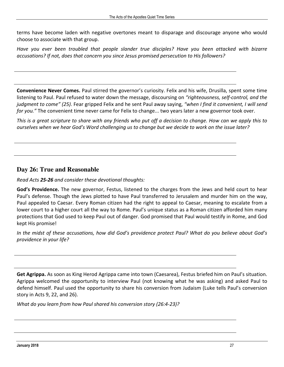terms have become laden with negative overtones meant to disparage and discourage anyone who would choose to associate with that group.

*Have* you ever been troubled that people slander true disciples? Have you been attacked with bizarre accusations? If not, does that concern you since Jesus promised persecution to His followers?

**Convenience Never Comes.** Paul stirred the governor's curiosity. Felix and his wife, Drusilla, spent some time listening to Paul. Paul refused to water down the message, discoursing on "righteousness, self-control, and the *judgment to come"* (25). Fear gripped Felix and he sent Paul away saying, "when I find it convenient, I will send *for you.*" The convenient time never came for Felix to change... two years later a new governor took over.

*This* is a great scripture to share with any friends who put off a decision to change. How can we apply this to ourselves when we hear God's Word challenging us to change but we decide to work on the issue later?

#### **Day 26: True and Reasonable**

*Read Acts* 25-26 *and consider these devotional thoughts:* 

**God's Providence.** The new governor, Festus, listened to the charges from the Jews and held court to hear Paul's defense. Though the Jews plotted to have Paul transferred to Jerusalem and murder him on the way, Paul appealed to Caesar. Every Roman citizen had the right to appeal to Caesar, meaning to escalate from a lower court to a higher court all the way to Rome. Paul's unique status as a Roman citizen afforded him many protections that God used to keep Paul out of danger. God promised that Paul would testify in Rome, and God kept His promise!

In the midst of these accusations, how did God's providence protect Paul? What do you believe about God's *providence in your life?* 

**Get Agrippa.** As soon as King Herod Agrippa came into town (Caesarea), Festus briefed him on Paul's situation. Agrippa welcomed the opportunity to interview Paul (not knowing what he was asking) and asked Paul to defend himself. Paul used the opportunity to share his conversion from Judaism (Luke tells Paul's conversion story in Acts  $9$ , 22, and 26).

*What do you learn from how Paul shared his conversion story (26:4-23)?*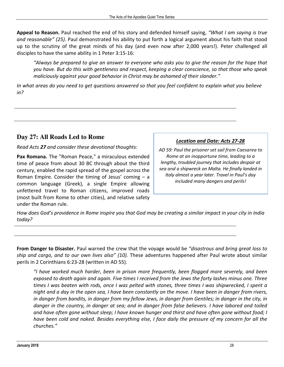**Appeal to Reason.** Paul reached the end of his story and defended himself saying, "What I am saying is true and reasonable" (25). Paul demonstrated his ability to put forth a logical argument about his faith that stood up to the scrutiny of the great minds of his day (and even now after 2,000 years!). Peter challenged all disciples to have the same ability in 1 Peter 3:15-16:

"Always be prepared to give an answer to everyone who asks you to give the reason for the hope that you have. But do this with gentleness and respect, keeping a clear conscience, so that those who speak *maliciously against your good behavior in Christ may be ashamed of their slander."* 

*In* what areas do you need to get questions answered so that you feel confident to explain what you believe *in?* 

## **Day 27: All Roads Led to Rome**

*Read Acts 27 and consider these devotional thoughts:*

**Pax Romana.** The "Roman Peace," a miraculous extended time of peace from about 30 BC through about the third century, enabled the rapid spread of the gospel across the Roman Empire. Consider the timing of Jesus' coming  $-$  a common language (Greek), a single Empire allowing unfettered travel to Roman citizens, improved roads (most built from Rome to other cities), and relative safety under the Roman rule.

#### *Location and Date: Acts 27-28*

*AD 59: Paul the prisoner set sail from Caesarea to Rome at an inopportune time, leading to a lengthy, troubled journey that includes despair at sea and a shipwreck on Malta. He finally landed in Italy almost a year later. Travel in Paul's day included many dangers and perils!*

*How* does God's providence in Rome inspire you that God may be creating a similar impact in your city in India *today?* 

**From Danger to Disaster.** Paul warned the crew that the voyage would be "disastrous and bring great loss to *ship* and cargo, and to our own lives also" (10). These adventures happened after Paul wrote about similar perils in 2 Corinthians 6:23-28 (written in AD 55).

*"I have worked much harder, been in prison more frequently, been flogged more severely, and been*  exposed to death again and again. Five times I received from the Jews the forty lashes minus one. Three times I was beaten with rods, once I was pelted with stones, three times I was shipwrecked, I spent a *night* and a day in the open sea, I have been constantly on the move. I have been in danger from rivers, *in* danger from bandits, in danger from my fellow Jews, in danger from Gentiles; in danger in the city, in danger in the country, in danger at sea; and in danger from false believers. I have labored and toiled and have often gone without sleep; I have known hunger and thirst and have often gone without food; I *have been cold and naked. Besides everything else, I face daily the pressure of my concern for all the churches."*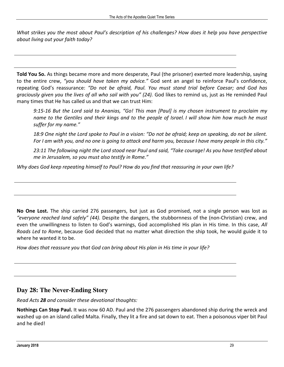*What strikes you the most about Paul's description of his challenges? How does it help you have perspective about living out your faith today?* 

**Told You So.** As things became more and more desperate, Paul (the prisoner) exerted more leadership, saying to the entire crew, "you should have taken my advice." God sent an angel to reinforce Paul's confidence, repeating God's reassurance: "Do not be afraid, Paul. You must stand trial before Caesar; and God has *graciously given you the lives of all who sail with you" (24).* God likes to remind us, just as He reminded Paul many times that He has called us and that we can trust Him:

*9:15-16* But the Lord said to Ananias, "Go! This man [Paul] is my chosen instrument to proclaim my *name to the Gentiles and their kings and to the people of Israel. I* will show him how much he must suffer for my name."

18:9 One night the Lord spoke to Paul in a vision: "Do not be afraid; keep on speaking, do not be silent. For I am with you, and no one is going to attack and harm you, because I have many people in this city."

23:11 The following night the Lord stood near Paul and said, "Take courage! As you have testified about *me in Jerusalem, so you must also testify in Rome."* 

Why does God keep repeating himself to Paul? How do you find that reassuring in your own life?

**No One Lost.** The ship carried 276 passengers, but just as God promised, not a single person was lost as "everyone reached land safely" (44). Despite the dangers, the stubbornness of the (non-Christian) crew, and even the unwillingness to listen to God's warnings, God accomplished His plan in His time. In this case, *All Roads Led to Rome*, because God decided that no matter what direction the ship took, he would guide it to where he wanted it to be.

How does that reassure you that God can bring about His plan in His time in your life?

## **Day 28: The Never-Ending Story**

*Read Acts* 28 *and consider these devotional thoughts:* 

**Nothings Can Stop Paul.** It was now 60 AD. Paul and the 276 passengers abandoned ship during the wreck and washed up on an island called Malta. Finally, they lit a fire and sat down to eat. Then a poisonous viper bit Paul and he died!